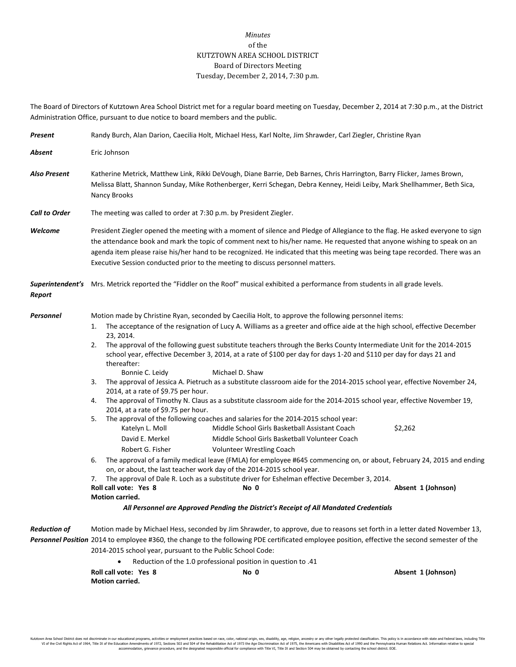## *Minutes* of the KUTZTOWN AREA SCHOOL DISTRICT Board of Directors Meeting Tuesday, December 2, 2014, 7:30 p.m.

The Board of Directors of Kutztown Area School District met for a regular board meeting on Tuesday, December 2, 2014 at 7:30 p.m., at the District Administration Office, pursuant to due notice to board members and the public.

| Present              | Randy Burch, Alan Darion, Caecilia Holt, Michael Hess, Karl Nolte, Jim Shrawder, Carl Ziegler, Christine Ryan                                                                                                                                                                                                                                                                                                                                                              |                                                                                                                                                                                                                                                                                                                                                                                                                                                                                                                                                                                                                                                                                                                                                                                                                                                                                                                                                                                                                                                                                                                                                                                                                                                                                                                                                                                  |                               |  |  |
|----------------------|----------------------------------------------------------------------------------------------------------------------------------------------------------------------------------------------------------------------------------------------------------------------------------------------------------------------------------------------------------------------------------------------------------------------------------------------------------------------------|----------------------------------------------------------------------------------------------------------------------------------------------------------------------------------------------------------------------------------------------------------------------------------------------------------------------------------------------------------------------------------------------------------------------------------------------------------------------------------------------------------------------------------------------------------------------------------------------------------------------------------------------------------------------------------------------------------------------------------------------------------------------------------------------------------------------------------------------------------------------------------------------------------------------------------------------------------------------------------------------------------------------------------------------------------------------------------------------------------------------------------------------------------------------------------------------------------------------------------------------------------------------------------------------------------------------------------------------------------------------------------|-------------------------------|--|--|
| Absent               | Eric Johnson                                                                                                                                                                                                                                                                                                                                                                                                                                                               |                                                                                                                                                                                                                                                                                                                                                                                                                                                                                                                                                                                                                                                                                                                                                                                                                                                                                                                                                                                                                                                                                                                                                                                                                                                                                                                                                                                  |                               |  |  |
| <b>Also Present</b>  | Katherine Metrick, Matthew Link, Rikki DeVough, Diane Barrie, Deb Barnes, Chris Harrington, Barry Flicker, James Brown,<br>Melissa Blatt, Shannon Sunday, Mike Rothenberger, Kerri Schegan, Debra Kenney, Heidi Leiby, Mark Shellhammer, Beth Sica,<br>Nancy Brooks                                                                                                                                                                                                        |                                                                                                                                                                                                                                                                                                                                                                                                                                                                                                                                                                                                                                                                                                                                                                                                                                                                                                                                                                                                                                                                                                                                                                                                                                                                                                                                                                                  |                               |  |  |
| <b>Call to Order</b> | The meeting was called to order at 7:30 p.m. by President Ziegler.                                                                                                                                                                                                                                                                                                                                                                                                         |                                                                                                                                                                                                                                                                                                                                                                                                                                                                                                                                                                                                                                                                                                                                                                                                                                                                                                                                                                                                                                                                                                                                                                                                                                                                                                                                                                                  |                               |  |  |
| Welcome              | President Ziegler opened the meeting with a moment of silence and Pledge of Allegiance to the flag. He asked everyone to sign<br>the attendance book and mark the topic of comment next to his/her name. He requested that anyone wishing to speak on an<br>agenda item please raise his/her hand to be recognized. He indicated that this meeting was being tape recorded. There was an<br>Executive Session conducted prior to the meeting to discuss personnel matters. |                                                                                                                                                                                                                                                                                                                                                                                                                                                                                                                                                                                                                                                                                                                                                                                                                                                                                                                                                                                                                                                                                                                                                                                                                                                                                                                                                                                  |                               |  |  |
| Report               | Superintendent's Mrs. Metrick reported the "Fiddler on the Roof" musical exhibited a performance from students in all grade levels.                                                                                                                                                                                                                                                                                                                                        |                                                                                                                                                                                                                                                                                                                                                                                                                                                                                                                                                                                                                                                                                                                                                                                                                                                                                                                                                                                                                                                                                                                                                                                                                                                                                                                                                                                  |                               |  |  |
| Personnel            | 1.<br>23, 2014.<br>2.<br>thereafter:<br>Bonnie C. Leidy<br>3.<br>2014, at a rate of \$9.75 per hour.<br>4.<br>2014, at a rate of \$9.75 per hour.<br>5.<br>Katelyn L. Moll<br>David E. Merkel<br>Robert G. Fisher<br>6.<br>7.<br>Roll call vote: Yes 8<br>Motion carried.                                                                                                                                                                                                  | Motion made by Christine Ryan, seconded by Caecilia Holt, to approve the following personnel items:<br>The acceptance of the resignation of Lucy A. Williams as a greeter and office aide at the high school, effective December<br>The approval of the following guest substitute teachers through the Berks County Intermediate Unit for the 2014-2015<br>school year, effective December 3, 2014, at a rate of \$100 per day for days 1-20 and \$110 per day for days 21 and<br>Michael D. Shaw<br>The approval of Jessica A. Pietruch as a substitute classroom aide for the 2014-2015 school year, effective November 24,<br>The approval of Timothy N. Claus as a substitute classroom aide for the 2014-2015 school year, effective November 19,<br>The approval of the following coaches and salaries for the 2014-2015 school year:<br>Middle School Girls Basketball Assistant Coach<br>Middle School Girls Basketball Volunteer Coach<br>Volunteer Wrestling Coach<br>The approval of a family medical leave (FMLA) for employee #645 commencing on, or about, February 24, 2015 and ending<br>on, or about, the last teacher work day of the 2014-2015 school year.<br>The approval of Dale R. Loch as a substitute driver for Eshelman effective December 3, 2014.<br>No 0<br>All Personnel are Approved Pending the District's Receipt of All Mandated Credentials | \$2,262<br>Absent 1 (Johnson) |  |  |
| <b>Reduction of</b>  |                                                                                                                                                                                                                                                                                                                                                                                                                                                                            | Motion made by Michael Hess, seconded by Jim Shrawder, to approve, due to reasons set forth in a letter dated November 13,                                                                                                                                                                                                                                                                                                                                                                                                                                                                                                                                                                                                                                                                                                                                                                                                                                                                                                                                                                                                                                                                                                                                                                                                                                                       |                               |  |  |
|                      | Personnel Position 2014 to employee #360, the change to the following PDE certificated employee position, effective the second semester of the<br>2014-2015 school year, pursuant to the Public School Code:<br>Reduction of the 1.0 professional position in question to .41<br>Roll call vote: Yes 8<br>No 0<br>Absent 1 (Johnson)                                                                                                                                       |                                                                                                                                                                                                                                                                                                                                                                                                                                                                                                                                                                                                                                                                                                                                                                                                                                                                                                                                                                                                                                                                                                                                                                                                                                                                                                                                                                                  |                               |  |  |
|                      | Motion carried.                                                                                                                                                                                                                                                                                                                                                                                                                                                            |                                                                                                                                                                                                                                                                                                                                                                                                                                                                                                                                                                                                                                                                                                                                                                                                                                                                                                                                                                                                                                                                                                                                                                                                                                                                                                                                                                                  |                               |  |  |